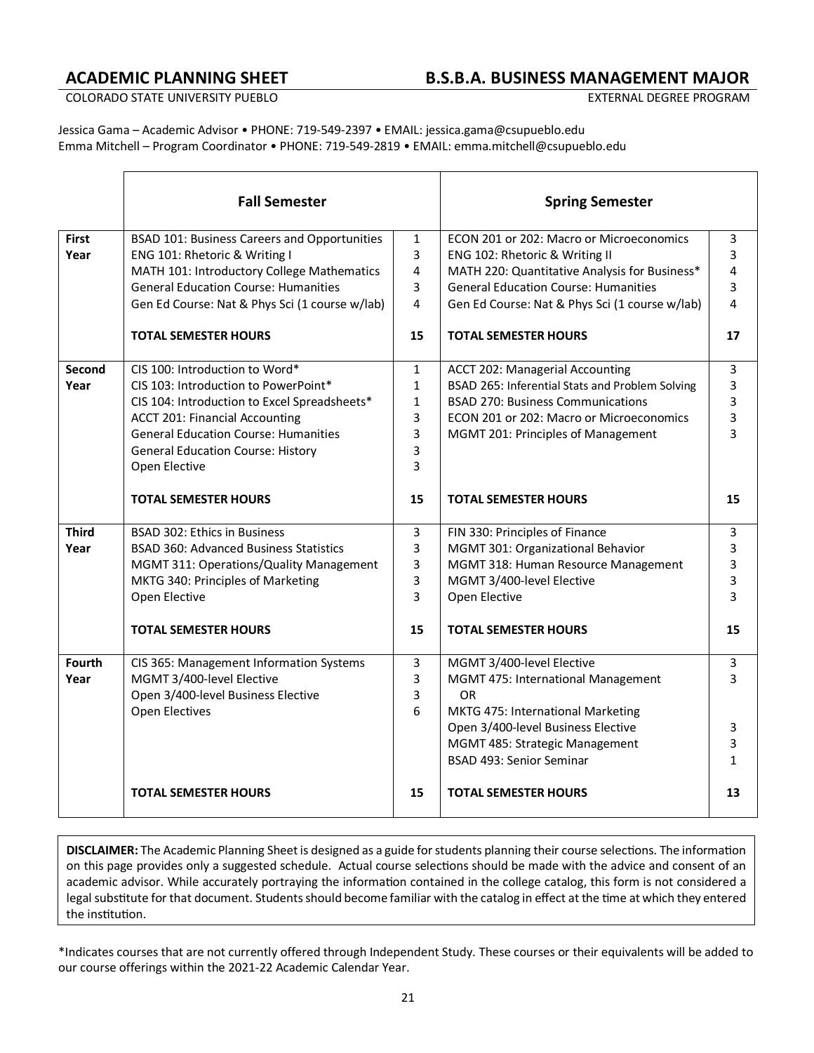# **ACADEMIC PLANNING SHEET B.S.B.A. BUSINESS MANAGEMENT MAJOR**

COLORADO STATE UNIVERSITY PUEBLO **EXTERNAL DEGREE PROGRAM** 

Jessica Gama – Academic Advisor • PHONE: 719-549-2397 • EMAIL: jessica.gama@csupueblo.edu Emma Mitchell – Program Coordinator • PHONE: 719-549-2819 • EMAIL: emma.mitchell@csupueblo.edu

|              | <b>Fall Semester</b>                                |                | <b>Spring Semester</b>                          |    |
|--------------|-----------------------------------------------------|----------------|-------------------------------------------------|----|
| <b>First</b> | <b>BSAD 101: Business Careers and Opportunities</b> | $\mathbf{1}$   | ECON 201 or 202: Macro or Microeconomics        | 3  |
| Year         | ENG 101: Rhetoric & Writing I                       | 3              | ENG 102: Rhetoric & Writing II                  | 3  |
|              | MATH 101: Introductory College Mathematics          | 4              | MATH 220: Quantitative Analysis for Business*   | 4  |
|              | <b>General Education Course: Humanities</b>         | 3              | <b>General Education Course: Humanities</b>     | 3  |
|              | Gen Ed Course: Nat & Phys Sci (1 course w/lab)      | 4              | Gen Ed Course: Nat & Phys Sci (1 course w/lab)  | 4  |
|              | <b>TOTAL SEMESTER HOURS</b>                         | 15             | <b>TOTAL SEMESTER HOURS</b>                     | 17 |
| Second       | CIS 100: Introduction to Word*                      | 1              | ACCT 202: Managerial Accounting                 | 3  |
| Year         | CIS 103: Introduction to PowerPoint*                | 1              | BSAD 265: Inferential Stats and Problem Solving | 3  |
|              | CIS 104: Introduction to Excel Spreadsheets*        | 1              | <b>BSAD 270: Business Communications</b>        | 3  |
|              | <b>ACCT 201: Financial Accounting</b>               | 3              | ECON 201 or 202: Macro or Microeconomics        | 3  |
|              | <b>General Education Course: Humanities</b>         | 3              | MGMT 201: Principles of Management              | 3  |
|              | <b>General Education Course: History</b>            | 3              |                                                 |    |
|              | Open Elective                                       | 3              |                                                 |    |
|              | <b>TOTAL SEMESTER HOURS</b>                         | 15             | <b>TOTAL SEMESTER HOURS</b>                     | 15 |
| <b>Third</b> | <b>BSAD 302: Ethics in Business</b>                 | 3              | FIN 330: Principles of Finance                  | 3  |
| Year         | <b>BSAD 360: Advanced Business Statistics</b>       | 3              | MGMT 301: Organizational Behavior               | 3  |
|              | MGMT 311: Operations/Quality Management             | 3              | MGMT 318: Human Resource Management             | 3  |
|              | MKTG 340: Principles of Marketing                   | 3              | MGMT 3/400-level Elective                       | 3  |
|              | Open Elective                                       | $\overline{3}$ | Open Elective                                   | 3  |
|              | <b>TOTAL SEMESTER HOURS</b>                         | 15             | <b>TOTAL SEMESTER HOURS</b>                     | 15 |
| Fourth       | CIS 365: Management Information Systems             | 3              | MGMT 3/400-level Elective                       | 3  |
| Year         | MGMT 3/400-level Elective                           | 3              | MGMT 475: International Management              | 3  |
|              | Open 3/400-level Business Elective                  | 3              | <b>OR</b>                                       |    |
|              | Open Electives                                      | 6              | MKTG 475: International Marketing               |    |
|              |                                                     |                | Open 3/400-level Business Elective              | 3  |
|              |                                                     |                | MGMT 485: Strategic Management                  | 3  |
|              |                                                     |                | BSAD 493: Senior Seminar                        | 1  |
|              | <b>TOTAL SEMESTER HOURS</b>                         | 15             | <b>TOTAL SEMESTER HOURS</b>                     | 13 |

**DISCLAIMER:** The Academic Planning Sheet is designed as a guide for students planning their course selections. The information on this page provides only a suggested schedule. Actual course selections should be made with the advice and consent of an academic advisor. While accurately portraying the information contained in the college catalog, this form is not considered a legal substitute for that document. Students should become familiar with the catalog in effect at the time at which they entered the institution.

\*Indicates courses that are not currently offered through Independent Study. These courses or their equivalents will be added to our course offerings within the 2021-22 Academic Calendar Year.